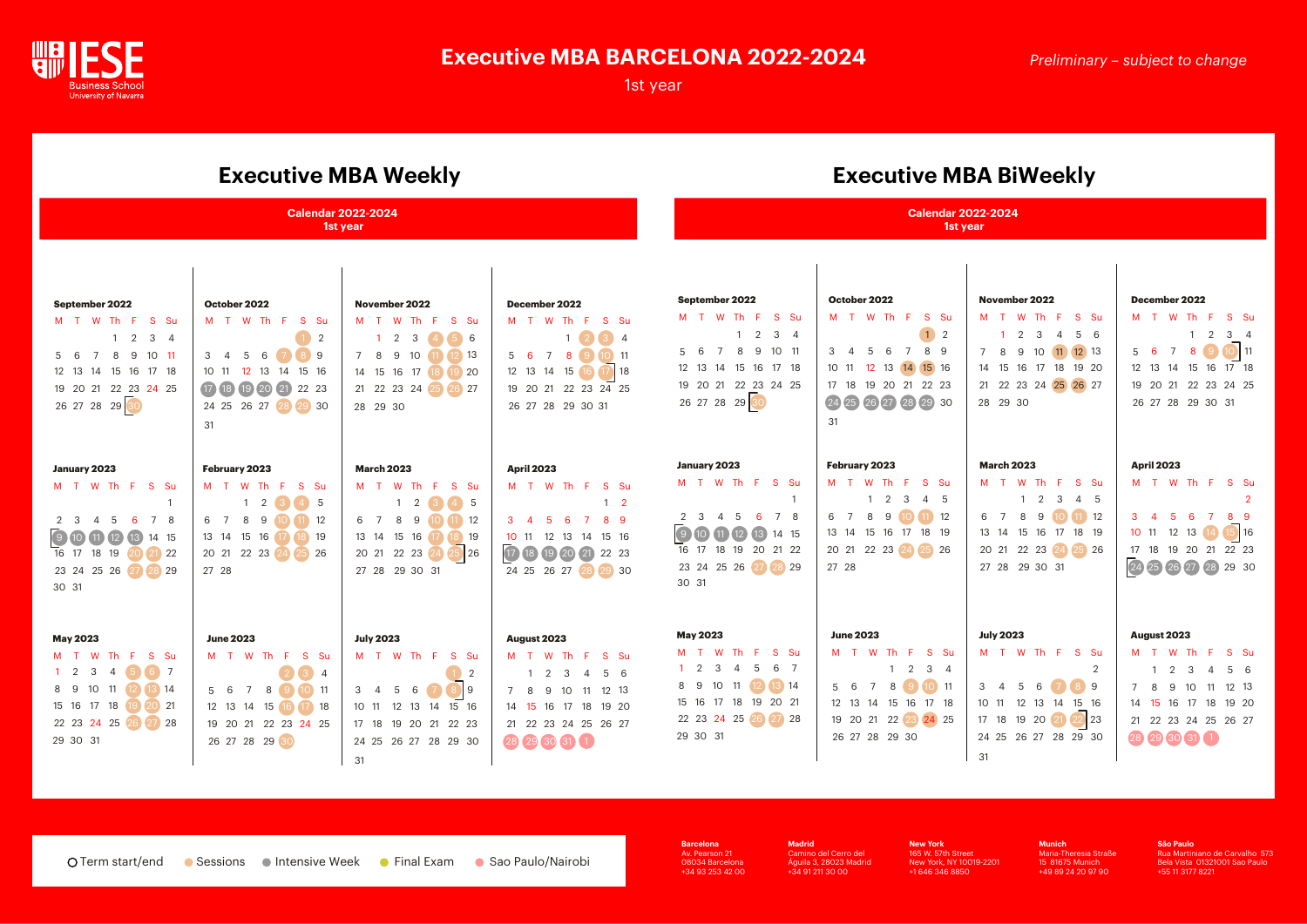

# **Executive MBA BARCELONA 2022-2024**

1st year

## *Preliminary – subject to change*

**Barcelona**  Av. Pearson 21 08034 Barcelona +34 93 253 42 00 **Madrid**  Camino del Cerro del Águila 3, 28023 Madrid +34 91 211 30 00

**New York** 165 W. 57th Street New York, NY 10019-2201 +1 646 346 8850

**Munich**  Maria-Theresia Straße 15 81675 Munich +49 89 24 20 97 90

**São Paulo**  Rua Martiniano de Carvalho 573 Bela Vista 01321001 Sao Paulo +55 11 3177 8221

# **Executive MBA Weekly Executive MBA BiWeekly**

| <u>ativo india viociai į</u><br><b>Calendar 2022-2024</b><br>1st year                                                                                                                    |                                                                                                                                                     |                                                                                                                                                                                                            |                                                                                                                                                                                       | <b>Calendar 2022-2024</b><br>1st year                                                                                                                                                                      |                                                                                                                                                               |                                                                                                                                                                       |  |
|------------------------------------------------------------------------------------------------------------------------------------------------------------------------------------------|-----------------------------------------------------------------------------------------------------------------------------------------------------|------------------------------------------------------------------------------------------------------------------------------------------------------------------------------------------------------------|---------------------------------------------------------------------------------------------------------------------------------------------------------------------------------------|------------------------------------------------------------------------------------------------------------------------------------------------------------------------------------------------------------|---------------------------------------------------------------------------------------------------------------------------------------------------------------|-----------------------------------------------------------------------------------------------------------------------------------------------------------------------|--|
|                                                                                                                                                                                          |                                                                                                                                                     |                                                                                                                                                                                                            |                                                                                                                                                                                       |                                                                                                                                                                                                            |                                                                                                                                                               |                                                                                                                                                                       |  |
| January 2023<br>M T W Th F S Su<br>4 5<br>6<br>$7\overline{ }$<br>8<br>$2 \quad 3$<br>$(9)$ 10 $(1)$ $(12)$<br>(13)<br>14 15<br>16 17 18 19<br>20 21 22<br>23 24 25 26 27 28 29<br>30 31 | February 2023<br>M T W Th F S Su<br>2<br>-5<br>6 7<br>8<br>9<br>12<br>13  14  15  16<br>$\left(17\right)$<br>18 19<br>20 21 22 23 24 25 26<br>27 28 | <b>March 2023</b><br>M T W Th F<br>S Su<br>$\overline{2}$<br>$\mathbf{1}$<br>$4 \mid 5$<br>8 9<br>$11 \t12$<br>6 7<br>13  14  15  16<br>18 19<br>(17)<br>20 21 22 23 24 25 26<br>27 28 29 30 31            | <b>April 2023</b><br>M T W Th F S Su<br>$1\quad 2$<br>$5\quad 6$<br>$3 \quad 4$<br>$\overline{7}$<br>89<br>12 13 14 15 16<br>10 11<br>17 18 19 20 21<br>22 23<br>24 25 26 27 28 29 30 | January 2023<br>M T W Th F S Su<br>$\overline{1}$<br>4 5<br>6 7 8<br>$2 \quad 3$<br>9 10 11 12<br>13 14 15<br>16 17 18 19 20 21 22<br>23 24 25 26 27 28 29<br>30 31                                        | February 2023<br>M T W Th F<br>S Su<br>$1 \quad 2 \quad 3$<br>4 5<br>8 9 10 11 12<br>6 7<br>13 14 15 16 17 18 19<br>20 21 22 23 24 25 26<br>27 28             | <b>March 2023</b><br>M T W Th F<br>S Su<br>$1 \quad 2$<br>3<br>4 5<br>$(11)$ 12<br>8 9<br>6 7<br>13 14 15 16 17<br>18 19<br>22 23 24 25 26<br>20 21<br>27 28 29 30 31 |  |
| <b>May 2023</b><br>M T W Th F S Su<br>1 2 3 4 5 6 7<br>8 9 10 11 12 13 14<br>15 16 17 18 19 20 21<br>22 23 24 25 26 27 28<br>29 30 31                                                    | <b>June 2023</b><br>M T W Th F S Su<br>2 3 4<br>5 6 7 8 9 10 11<br>12 13 14 15 16 17 18<br>19 20 21 22 23 24 25<br>26 27 28 29 30                   | <b>July 2023</b><br>M T W Th F S Su<br>$\begin{array}{ c c c c }\hline \textbf{1} & \textbf{2} \end{array}$<br>3 4 5 6 7 8 9<br>10 11 12 13 14 15 16<br>17 18 19 20 21 22 23<br>24 25 26 27 28 29 30<br>31 | August 2023<br>M T W Th F S Su<br>1 2 3 4 5 6<br>7 8 9 10 11 12 13<br>14  15  16  17  18  19  20<br>21  22  23  24  25  26  27<br>28 29 30 31 1                                       | <b>May 2023</b><br><b>W</b><br>Th F<br>S Su<br>M T<br>$1 \quad 2$<br>5<br>6<br>$\overline{\mathbf{3}}$<br>$\overline{4}$<br>8 9 10 11 12 13 14<br>15 16 17 18 19 20 21<br>22 23 24 25 26 27 28<br>29 30 31 | <b>June 2023</b><br>M T W Th F S Su<br>$2 \t3 \t4$<br>$\mathbf{1}$<br>5 6 7 8 9 10 11<br>12  13  14  15  16  17  18<br>19 20 21 22 23 24 25<br>26 27 28 29 30 | <b>July 2023</b><br>W Th F<br>M T<br>S Su<br>$\overline{2}$<br>3 4 5 6 7 8 9<br>10 11 12 13 14 15 16<br>17 18 19 20 21 22 23<br>24 25 26 27 28 29 30<br>31            |  |

| December 2022 |  |  |  |  |  |                                                                                                                                          |  |
|---------------|--|--|--|--|--|------------------------------------------------------------------------------------------------------------------------------------------|--|
|               |  |  |  |  |  |                                                                                                                                          |  |
|               |  |  |  |  |  |                                                                                                                                          |  |
|               |  |  |  |  |  |                                                                                                                                          |  |
|               |  |  |  |  |  |                                                                                                                                          |  |
|               |  |  |  |  |  |                                                                                                                                          |  |
|               |  |  |  |  |  |                                                                                                                                          |  |
|               |  |  |  |  |  | M T W Th F S Su<br>$1 \quad 2 \quad 3 \quad 4$<br>5 6 7 8 9 10 11<br>$12$ 13 14 15 16 17 18<br>19 20 21 22 23 24 25<br>26 27 28 29 30 31 |  |

### **August 2023**

|  |  | M T W Th F S Su            |  |
|--|--|----------------------------|--|
|  |  | 1 2 3 4 5 6                |  |
|  |  | 7 8 9 10 11 12 13          |  |
|  |  | 14  15  16  17  18  19  20 |  |
|  |  | 21 22 23 24 25 26 27       |  |
|  |  | 28 29 30 31 1              |  |

## **April 2023**

|  |  | M T W Th F S Su      |                |
|--|--|----------------------|----------------|
|  |  |                      | $\overline{2}$ |
|  |  | 3 4 5 6 7 8 9        |                |
|  |  | 10 11 12 13 14 15 16 |                |
|  |  | 17 18 19 20 21 22 23 |                |
|  |  | 24 25 26 27 28 29 30 |                |